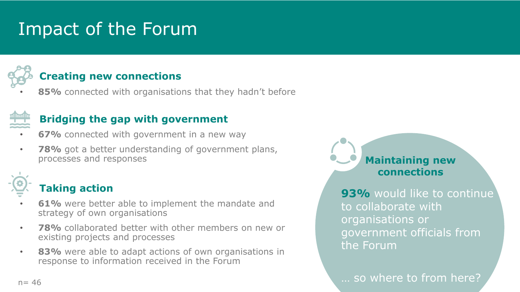# Impact of the Forum



### **Creating new connections**

85% connected with organisations that they hadn't before



### **Bridging the gap with government**

- **67%** connected with government in a new way
- **78%** got a better understanding of government plans, processes and responses



### **Taking action**

- **61%** were better able to implement the mandate and strategy of own organisations
- **78%** collaborated better with other members on new or existing projects and processes
- **83%** were able to adapt actions of own organisations in response to information received in the Forum



**93%** would like to continue to collaborate with organisations or government officials from the Forum

 $n = 46$  ... so where to from here?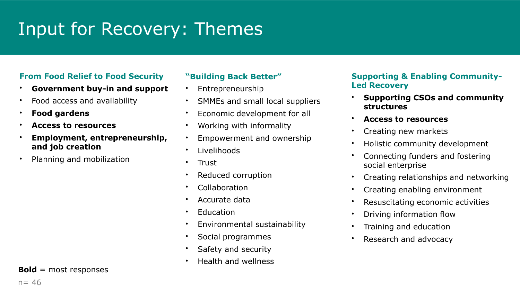# Input for Recovery: Themes

#### **From Food Relief to Food Security**

- **Government buy-in and support**
- Food access and availability
- **Food gardens**
- **Access to resources**
- **Employment, entrepreneurship, and job creation**
- Planning and mobilization

#### **"Building Back Better"**

- Entrepreneurship
- SMMEs and small local suppliers
- Economic development for all
- Working with informality
- Empowerment and ownership
- Livelihoods
- Trust
- Reduced corruption
- Collaboration
- Accurate data
- **Education**
- Environmental sustainability
- Social programmes
- Safety and security
- Health and wellness

#### **Supporting & Enabling Community-Led Recovery**

- **Supporting CSOs and community structures**
- **Access to resources**
- Creating new markets
- Holistic community development
- Connecting funders and fostering social enterprise
- Creating relationships and networking
- Creating enabling environment
- Resuscitating economic activities
- Driving information flow
- Training and education
- Research and advocacy

**Bold** = most responses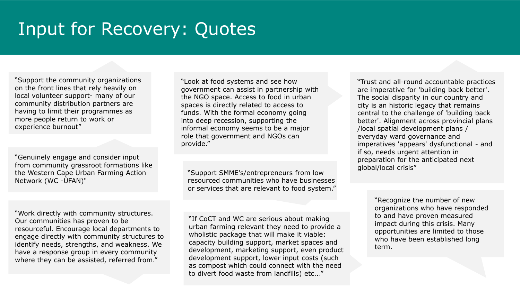# Input for Recovery: Quotes

"Support the community organizations on the front lines that rely heavily on local volunteer support- many of our community distribution partners are having to limit their programmes as more people return to work or experience burnout"

"Genuinely engage and consider input from community grassroot formations like the Western Cape Urban Farming Action Network (WC -ÙFAN)"

"Work directly with community structures. Our communities has proven to be resourceful. Encourage local departments to engage directly with community structures to identify needs, strengths, and weakness. We have a response group in every community where they can be assisted, referred from."

"Look at food systems and see how government can assist in partnership with the NGO space. Access to food in urban spaces is directly related to access to funds. With the formal economy going into deep recession, supporting the informal economy seems to be a major role that government and NGOs can provide."

"Support SMME's/entrepreneurs from low resourced communities who have businesses or services that are relevant to food system."

"If CoCT and WC are serious about making urban farming relevant they need to provide a wholistic package that will make it viable: capacity building support, market spaces and development, marketing support, even product development support, lower input costs (such as compost which could connect with the need to divert food waste from landfills) etc..."

"Trust and all-round accountable practices are imperative for 'building back better'. The social disparity in our country and city is an historic legacy that remains central to the challenge of 'building back better'. Alignment across provincial plans /local spatial development plans / everyday ward governance and imperatives 'appears' dysfunctional - and if so, needs urgent attention in preparation for the anticipated next global/local crisis"

> "Recognize the number of new organizations who have responded to and have proven measured impact during this crisis. Many opportunities are limited to those who have been established long term.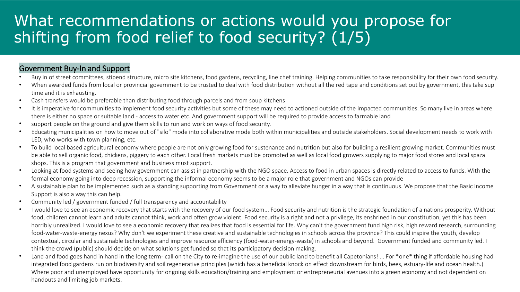### What recommendations or actions would you propose for shifting from food relief to food security? (1/5)

#### Government Buy-In and Support

- Buy in of street committees, stipend structure, micro site kitchens, food gardens, recycling, line chef training. Helping communities to take responsibility for their own food security.
- When awarded funds from local or provincial government to be trusted to deal with food distribution without all the red tape and conditions set out by government, this take sup time and it is exhausting.
- Cash transfers would be preferable than distributing food through parcels and from soup kitchens
- It is imperative for communities to implement food security activities but some of these may need to actioned outside of the impacted communities. So many live in areas where there is either no space or suitable land - access to water etc. And government support will be required to provide access to farmable land
- support people on the ground and give them skills to run and work on ways of food security.
- Educating municipalities on how to move out of "silo" mode into collaborative mode both within municipalities and outside stakeholders. Social development needs to work with LED, who works with town planning, etc.
- To build local based agricultural economy where people are not only growing food for sustenance and nutrition but also for building a resilient growing market. Communities must be able to sell organic food, chickens, piggery to each other. Local fresh markets must be promoted as well as local food growers supplying to major food stores and local spaza shops. This is a program that government and business must support.
- Looking at food systems and seeing how government can assist in partnership with the NGO space. Access to food in urban spaces is directly related to access to funds. With the formal economy going into deep recession, supporting the informal economy seems to be a major role that government and NGOs can provide
- A sustainable plan to be implemented such as a standing supporting from Government or a way to alleviate hunger in a way that is continuous. We propose that the Basic Income Support is also a way this can help.
- Community led / government funded / full transparency and accountability
- I would love to see an economic recovery that starts with the recovery of our food system... Food security and nutrition is the strategic foundation of a nations prosperity. Without food, children cannot learn and adults cannot think, work and often grow violent. Food security is a right and not a privilege, its enshrined in our constitution, yet this has been horribly unrealized. I would love to see a economic recovery that realizes that food is essential for life. Why can't the government fund high risk, high reward research, surrounding food-water-waste-energy nexus? Why don't we experiment these creative and sustainable technologies in schools across the province? This could inspire the youth, develop contextual, circular and sustainable technologies and improve resource efficiency (food-water-energy-waste) in schools and beyond. Government funded and community led. I think the crowd (public) should decide on what solutions get funded so that its participatory decision making.
- Land and food goes hand in hand in the long term- call on the City to re-imagine the use of our public land to benefit all Capetonians! ... For \*one\* thing if affordable housing had integrated food gardens run on biodiversity and soil regenerative principles (which has a beneficial knock on effect downstream for birds, bees, estuary-life and ocean health.) Where poor and unemployed have opportunity for ongoing skills education/training and employment or entrepreneurial avenues into a green economy and not dependent on handouts and limiting job markets.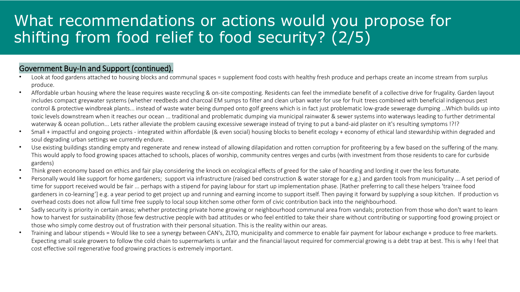### What recommendations or actions would you propose for shifting from food relief to food security? (2/5)

#### Government Buy-In and Support (continued).

- Look at food gardens attached to housing blocks and communal spaces = supplement food costs with healthy fresh produce and perhaps create an income stream from surplus produce.
- Affordable urban housing where the lease requires waste recycling & on-site composting. Residents can feel the immediate benefit of a collective drive for frugality. Garden layout includes compact greywater systems (whether reedbeds and charcoal EM sumps to filter and clean urban water for use for fruit trees combined with beneficial indigenous pest control & protective windbreak plants... instead of waste water being dumped onto golf greens which is in fact just problematic low-grade sewerage dumping ...Which builds up into toxic levels downstream when it reaches our ocean ... traditional and problematic dumping via municipal rainwater & sewer systems into waterways leading to further detrimental waterway & ocean pollution... Lets rather alleviate the problem causing excessive sewerage instead of trying to put a band-aid plaster on it's resulting symptoms !?!?
- Small + impactful and ongoing projects integrated within affordable (& even social) housing blocks to benefit ecology + economy of ethical land stewardship within degraded and soul degrading urban settings we currently endure.
- Use existing buildings standing empty and regenerate and renew instead of allowing dilapidation and rotten corruption for profiteering by a few based on the suffering of the many. This would apply to food growing spaces attached to schools, places of worship, community centres verges and curbs (with investment from those residents to care for curbside gardens)
- Think green economy based on ethics and fair play considering the knock on ecological effects of greed for the sake of hoarding and lording it over the less fortunate.
- Personally would like support for home gardeners; support via infrastructure (raised bed construction & water storage for e.g.) and garden tools from municipality ... A set period of time for support received would be fair ... perhaps with a stipend for paying labour for start up implementation phase. [Rather preferring to call these helpers 'trainee food gardeners in co-learning'] e.g. a year period to get project up and running and earning income to support itself. Then paying it forward by supplying a soup kitchen. If production vs overhead costs does not allow full time free supply to local soup kitchen some other form of civic contribution back into the neighbourhood.
- Sadly security is priority in certain areas; whether protecting private home growing or neighbourhood communal area from vandals; protection from those who don't want to learn how to harvest for sustainability (those few destructive people with bad attitudes or who feel entitled to take their share without contributing or supporting food growing project or those who simply come destroy out of frustration with their personal situation. This is the reality within our areas.
- Training and labour stipends = Would like to see a synergy between CAN's, ZLTO, municipality and commerce to enable fair payment for labour exchange + produce to free markets. Expecting small scale growers to follow the cold chain to supermarkets is unfair and the financial layout required for commercial growing is a debt trap at best. This is why I feel that cost effective soil regenerative food growing practices is extremely important.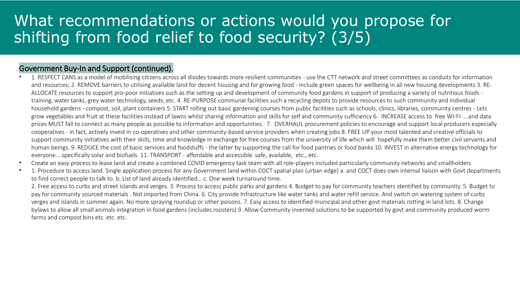### What recommendations or actions would you propose for shifting from food relief to food security? (3/5)

#### Government Buy-In and Support (continued).

- 1. RESPECT CANS as a model of mobilising citizens across all divides towards more resilient communities use the CTT network and street committees as conduits for information and resources; 2. REMOVE barriers to utilising available land for decent housing and for growing food - include green spaces for wellbeing in all new housing developments 3. RE-ALLOCATE resources to support pro-poor initiatives such as the setting up and development of community food gardens in support of producing a variety of nutritious foods training, water tanks, grey water technology, seeds, etc. 4. RE-PURPOSE communal facilities such a recycling depots to provide resources to such community and individual household gardens - compost, soil, plant containers 5. START rolling out basic gardening courses from public facilities such as schools, clinics, libraries, community centres - Lets grow vegetables and fruit at these facilities instead of lawns whilst sharing information and skills for self and community sufficiency 6. INCREASE access to free WI-FI ....and data prices MUST fall to connect as many people as possible to information and opportunities. 7. OVERHAUL procurement policies to encourage and support local producers especially cooperatives - in fact, actively invest in co-operatives and other community-based service providers when creating jobs 8. FREE UP your most talented and creative officials to support community initiatives with their skills, time and knowledge in exchange for free courses from the university of life which will hopefully make them better civil servants and human beings. 9. REDUCE the cost of basic services and foodstuffs - the latter by supporting the call for food pantries or food banks 10. INVEST in alternative energy technology for everyone....specifically solar and biofuels. 11. TRANSPORT - affordable and accessible. safe, available, etc., etc.
- Create an easy process to lease land and create a combined COVID emergency task team with all role-players included particularly community networks and smallholders
- 1. Procedure to access land. Single application process for any Government land within COCT spatial plan (urban edge) a. and COCT does own internal liaison with Govt departments to find correct people to talk to. b. List of land already identified… c. One week turnaround time.

2. Free access to curbs and street islands and verges. 3. Process to access public parks and gardens 4. Budget to pay for community teachers identified by community. 5. Budget to pay for community sourced materials . Not imported from China. 6. City provide Infrastructure like water tanks and water refill service. And switch on watering system of curbs verges and islands in summer again. No more spraying roundup or other poisons. 7. Easy access to identified municipal and other govt materials rotting in land lots. 8. Change bylaws to allow all small animals integration in food gardens (includes roosters) 9. Allow Community invented solutions to be supported by govt and community produced worm farms and compost bins etc. etc. etc.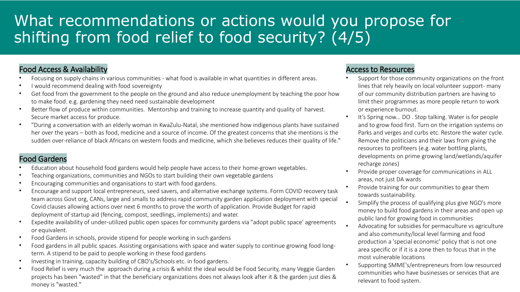## What recommendations or actions would you propose for shifting from food relief to food security? (4/5)

#### Food Access & Availability

- Focusing on supply chains in various communities what food is available in what quantities in different areas.
- I would recommend dealing with food sovereignty
- Get food from the government to the people on the ground and also reduce unemployment by teaching the poor how to make food. e.g. gardening they need need sustainable development
- Better flow of produce within communities. Mentorship and training to increase quantity and quality of harvest. Secure market access for produce.
- "During a conversation with an elderly woman in KwaZulu-Natal, she mentioned how indigenous plants have sustained her over the years – both as food, medicine and a source of income. Of the greatest concerns that she mentions is the sudden over-reliance of black Africans on western foods and medicine, which she believes reduces their quality of life."

#### Food Gardens

- Education about household food gardens would help people have access to their home-grown vegetables.
- Teaching organizations, communities and NGOs to start building their own vegetable gardens
- Encouraging communities and organisations to start with food gardens.
- Encourage and support local entrepreneurs, seed savers, and alternative exchange systems. Form COVID recovery task team across Govt org, CANs, large and smalls to address rapid community garden application deployment with special Covid clauses allowing actions over next 6 months to prove the worth of application. Provide Budget for rapid deployment of startup aid (fencing, compost, seedlings, implements) and water.
- Expedite availability of under-utilized public open spaces for community gardens via "adopt public space' agreements or equivalent.
- Food Gardens in schools, provide stipend for people working in such gardens
- Food gardens in all public spaces. Assisting organisations with space and water supply to continue growing food longterm. A stipend to be paid to people working in these food gardens
- Investing in training, capacity building of CBO's/Schools etc. in food gardens.
- Food Relief is very much the approach during a crisis & whilst the ideal would be Food Security, many Veggie Garden projects has been "wasted" in that the beneficiary organizations does not always look after it & the garden just dies & money is "wasted."

#### Access to Resources

- Support for those community organizations on the front lines that rely heavily on local volunteer support- many of our community distribution partners are having to limit their programmes as more people return to work or experience burnout.
- It's Spring now... DO. Stop talking. Water is for people and to grow food first. Turn on the irrigation systems on Parks and verges and curbs etc. Restore the water cycle. Remove the politicians and their laws from giving the resources to profiteers (e.g. water bottling plants, developments on prime growing land/wetlands/aquifer recharge zones)
- Provide proper coverage for communications in ALL areas, not just DA wards
- Provide training for our communities to gear them towards sustainability.
- Simplify the process of qualifying plus give NGO's more money to build food gardens in their areas and open up public land for growing food in communities
- Advocating for subsidies for permaculture vs agriculture and also community/local level farming and food production a 'special economic' policy that is not one area specific or if it is a zone then to focus that in the most vulnerable locations
- Supporting SMME's/entrepreneurs from low resourced communities who have businesses or services that are relevant to food system.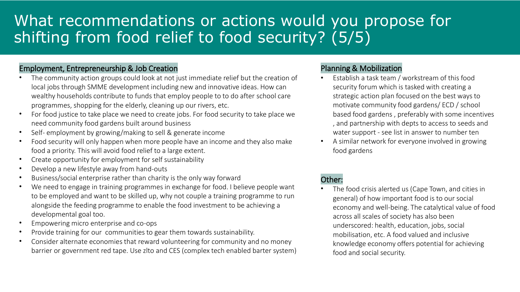## What recommendations or actions would you propose for shifting from food relief to food security? (5/5)

#### Employment, Entrepreneurship & Job Creation

- The community action groups could look at not just immediate relief but the creation of local jobs through SMME development including new and innovative ideas. How can wealthy households contribute to funds that employ people to to do after school care programmes, shopping for the elderly, cleaning up our rivers, etc.
- For food justice to take place we need to create jobs. For food security to take place we need community food gardens built around business
- Self- employment by growing/making to sell & generate income
- Food security will only happen when more people have an income and they also make food a priority. This will avoid food relief to a large extent.
- Create opportunity for employment for self sustainability
- Develop a new lifestyle away from hand-outs
- Business/social enterprise rather than charity is the only way forward
- We need to engage in training programmes in exchange for food. I believe people want to be employed and want to be skilled up, why not couple a training programme to run alongside the feeding programme to enable the food investment to be achieving a developmental goal too.
- Empowering micro enterprise and co-ops
- Provide training for our communities to gear them towards sustainability.
- Consider alternate economies that reward volunteering for community and no money barrier or government red tape. Use zlto and CES (complex tech enabled barter system)

#### Planning & Mobilization

- Establish a task team / workstream of this food security forum which is tasked with creating a strategic action plan focused on the best ways to motivate community food gardens/ ECD / school based food gardens , preferably with some incentives , and partnership with depts to access to seeds and water support - see list in answer to number ten
- A similar network for everyone involved in growing food gardens

#### Other:

The food crisis alerted us (Cape Town, and cities in general) of how important food is to our social economy and well-being. The catalytical value of food across all scales of society has also been underscored: health, education, jobs, social mobilisation, etc. A food valued and inclusive knowledge economy offers potential for achieving food and social security.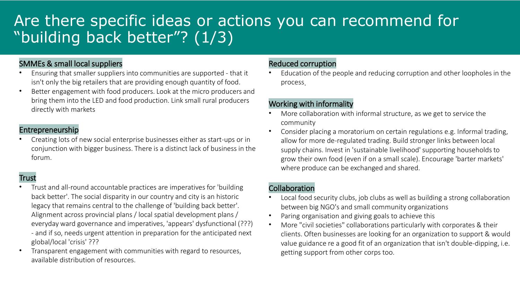## Are there specific ideas or actions you can recommend for "building back better"? (1/3)

#### SMMEs & small local suppliers

- Ensuring that smaller suppliers into communities are supported that it isn't only the big retailers that are providing enough quantity of food.
- Better engagement with food producers. Look at the micro producers and bring them into the LED and food production. Link small rural producers directly with markets

#### Entrepreneurship

• Creating lots of new social enterprise businesses either as start-ups or in conjunction with bigger business. There is a distinct lack of business in the forum.

#### **Trust**

- Trust and all-round accountable practices are imperatives for 'building back better'. The social disparity in our country and city is an historic legacy that remains central to the challenge of 'building back better'. Alignment across provincial plans / local spatial development plans / everyday ward governance and imperatives, 'appears' dysfunctional (???) - and if so, needs urgent attention in preparation for the anticipated next global/local 'crisis' ???
- Transparent engagement with communities with regard to resources, available distribution of resources.

#### Reduced corruption

• Education of the people and reducing corruption and other loopholes in the process.

#### Working with informality

- More collaboration with informal structure, as we get to service the community
- Consider placing a moratorium on certain regulations e.g. Informal trading, allow for more de-regulated trading. Build stronger links between local supply chains. Invest in 'sustainable livelihood' supporting households to grow their own food (even if on a small scale). Encourage 'barter markets' where produce can be exchanged and shared.

#### Collaboration

- Local food security clubs, job clubs as well as building a strong collaboration between big NGO's and small community organizations
- Paring organisation and giving goals to achieve this
- More "civil societies" collaborations particularly with corporates & their clients. Often businesses are looking for an organization to support & would value guidance re a good fit of an organization that isn't double-dipping, i.e. getting support from other corps too.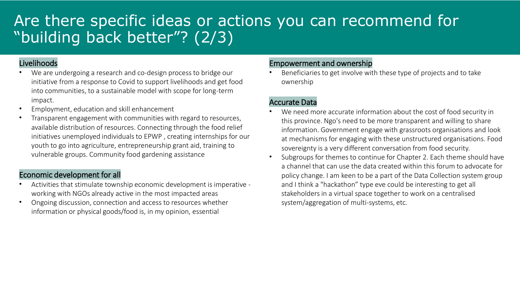### Are there specific ideas or actions you can recommend for "building back better"? (2/3)

#### Livelihoods

- We are undergoing a research and co-design process to bridge our initiative from a response to Covid to support livelihoods and get food into communities, to a sustainable model with scope for long-term impact.
- Employment, education and skill enhancement
- Transparent engagement with communities with regard to resources, available distribution of resources. Connecting through the food relief initiatives unemployed individuals to EPWP , creating internships for our youth to go into agriculture, entrepreneurship grant aid, training to vulnerable groups. Community food gardening assistance

#### Economic development for all

- Activities that stimulate township economic development is imperative working with NGOs already active in the most impacted areas
- Ongoing discussion, connection and access to resources whether information or physical goods/food is, in my opinion, essential

#### Empowerment and ownership

• Beneficiaries to get involve with these type of projects and to take ownership

#### Accurate Data

- We need more accurate information about the cost of food security in this province. Ngo's need to be more transparent and willing to share information. Government engage with grassroots organisations and look at mechanisms for engaging with these unstructured organisations. Food sovereignty is a very different conversation from food security.
- Subgroups for themes to continue for Chapter 2. Each theme should have a channel that can use the data created within this forum to advocate for policy change. I am keen to be a part of the Data Collection system group and I think a "hackathon" type eve could be interesting to get all stakeholders in a virtual space together to work on a centralised system/aggregation of multi-systems, etc.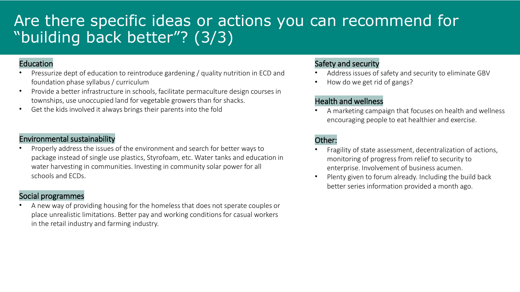### Are there specific ideas or actions you can recommend for "building back better"? (3/3)

#### Education

- Pressurize dept of education to reintroduce gardening / quality nutrition in ECD and foundation phase syllabus / curriculum
- Provide a better infrastructure in schools, facilitate permaculture design courses in townships, use unoccupied land for vegetable growers than for shacks.
- Get the kids involved it always brings their parents into the fold

#### Environmental sustainability

• Properly address the issues of the environment and search for better ways to package instead of single use plastics, Styrofoam, etc. Water tanks and education in water harvesting in communities. Investing in community solar power for all schools and ECDs.

#### Social programmes

• A new way of providing housing for the homeless that does not sperate couples or place unrealistic limitations. Better pay and working conditions for casual workers in the retail industry and farming industry.

#### Safety and security

- Address issues of safety and security to eliminate GBV
- How do we get rid of gangs?

#### Health and wellness

• A marketing campaign that focuses on health and wellness encouraging people to eat healthier and exercise.

#### Other:

- Fragility of state assessment, decentralization of actions, monitoring of progress from relief to security to enterprise. Involvement of business acumen.
- Plenty given to forum already. Including the build back better series information provided a month ago.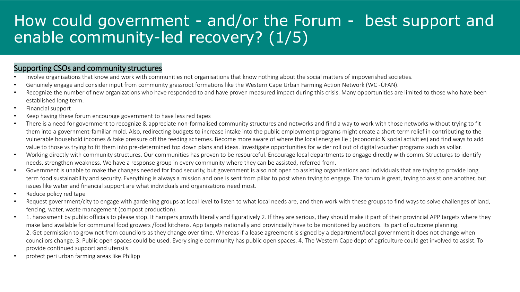### How could government - and/or the Forum - best support and enable community-led recovery? (1/5)

#### Supporting CSOs and community structures

- Involve organisations that know and work with communities not organisations that know nothing about the social matters of impoverished societies.
- Genuinely engage and consider input from community grassroot formations like the Western Cape Urban Farming Action Network (WC -ÙFAN).
- Recognize the number of new organizations who have responded to and have proven measured impact during this crisis. Many opportunities are limited to those who have been established long term.
- Financial support
- Keep having these forum encourage government to have less red tapes
- There is a need for government to recognize & appreciate non-formalised community structures and networks and find a way to work with those networks without trying to fit them into a government-familiar mold. Also, redirecting budgets to increase intake into the public employment programs might create a short-term relief in contributing to the vulnerable household incomes & take pressure off the feeding schemes. Become more aware of where the local energies lie ; (economic & social activities) and find ways to add value to those vs trying to fit them into pre-determined top down plans and ideas. Investigate opportunities for wider roll out of digital voucher programs such as vollar.
- Working directly with community structures. Our communities has proven to be resourceful. Encourage local departments to engage directly with comm. Structures to identify needs, strengthen weakness. We have a response group in every community where they can be assisted, referred from.
- Government is unable to make the changes needed for food security, but government is also not open to assisting organisations and individuals that are trying to provide long term food sustainability and security. Everything is always a mission and one is sent from pillar to post when trying to engage. The forum is great, trying to assist one another, but issues like water and financial support are what individuals and organizations need most.
- Reduce policy red tape
- Request government/city to engage with gardening groups at local level to listen to what local needs are, and then work with these groups to find ways to solve challenges of land, fencing, water, waste management (compost production).
- 1. harassment by public officials to please stop. It hampers growth literally and figuratively 2. If they are serious, they should make it part of their provincial APP targets where they make land available for communal food growers /food kitchens. App targets nationally and provincially have to be monitored by auditors. Its part of outcome planning. 2. Get permission to grow not from councilors as they change over time. Whereas if a lease agreement is signed by a department/local government it does not change when councilors change. 3. Public open spaces could be used. Every single community has public open spaces. 4. The Western Cape dept of agriculture could get involved to assist. To provide continued support and utensils.
- protect peri urban farming areas like Philipp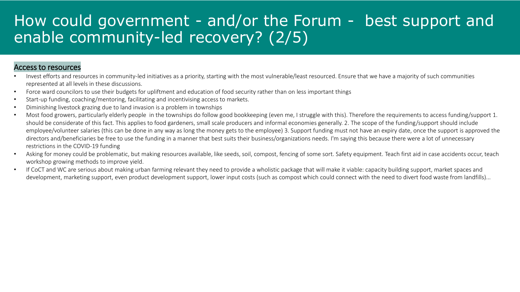### How could government - and/or the Forum - best support and enable community-led recovery? (2/5)

#### Access to resources

- Invest efforts and resources in community-led initiatives as a priority, starting with the most vulnerable/least resourced. Ensure that we have a majority of such communities represented at all levels in these discussions.
- Force ward councilors to use their budgets for upliftment and education of food security rather than on less important things
- Start-up funding, coaching/mentoring, facilitating and incentivising access to markets.
- Diminishing livestock grazing due to land invasion is a problem in townships
- Most food growers, particularly elderly people in the townships do follow good bookkeeping (even me, I struggle with this). Therefore the requirements to access funding/support 1. should be considerate of this fact. This applies to food gardeners, small scale producers and informal economies generally. 2. The scope of the funding/support should include employee/volunteer salaries (this can be done in any way as long the money gets to the employee) 3. Support funding must not have an expiry date, once the support is approved the directors and/beneficiaries be free to use the funding in a manner that best suits their business/organizations needs. I'm saying this because there were a lot of unnecessary restrictions in the COVID-19 funding
- Asking for money could be problematic, but making resources available, like seeds, soil, compost, fencing of some sort. Safety equipment. Teach first aid in case accidents occur, teach workshop growing methods to improve yield.
- If CoCT and WC are serious about making urban farming relevant they need to provide a wholistic package that will make it viable: capacity building support, market spaces and development, marketing support, even product development support, lower input costs (such as compost which could connect with the need to divert food waste from landfills)...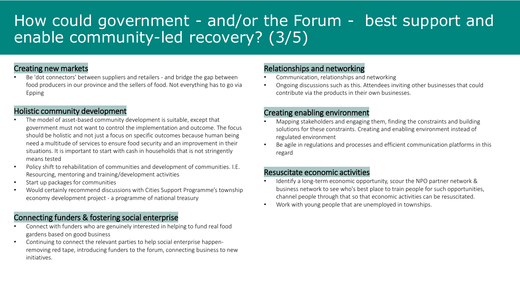### How could government - and/or the Forum - best support and enable community-led recovery? (3/5)

#### Creating new markets

• Be 'dot connectors' between suppliers and retailers - and bridge the gap between food producers in our province and the sellers of food. Not everything has to go via Epping

#### Holistic community development

- The model of asset-based community development is suitable, except that government must not want to control the implementation and outcome. The focus should be holistic and not just a focus on specific outcomes because human being need a multitude of services to ensure food security and an improvement in their situations. It is important to start with cash in households that is not stringently means tested
- Policy shift to rehabilitation of communities and development of communities. I.E. Resourcing, mentoring and training/development activities
- Start up packages for communities
- Would certainly recommend discussions with Cities Support Programme's township economy development project - a programme of national treasury

#### Connecting funders & fostering social enterprise

- Connect with funders who are genuinely interested in helping to fund real food gardens based on good business
- Continuing to connect the relevant parties to help social enterprise happenremoving red tape, introducing funders to the forum, connecting business to new initiatives.

#### Relationships and networking

- Communication, relationships and networking
- Ongoing discussions such as this. Attendees inviting other businesses that could contribute via the products in their own businesses.

#### Creating enabling environment

- Mapping stakeholders and engaging them, finding the constraints and building solutions for these constraints. Creating and enabling environment instead of regulated environment
- Be agile in regulations and processes and efficient communication platforms in this regard

#### Resuscitate economic activities

- Identify a long-term economic opportunity, scour the NPO partner network & business network to see who's best place to train people for such opportunities, channel people through that so that economic activities can be resuscitated.
- Work with young people that are unemployed in townships.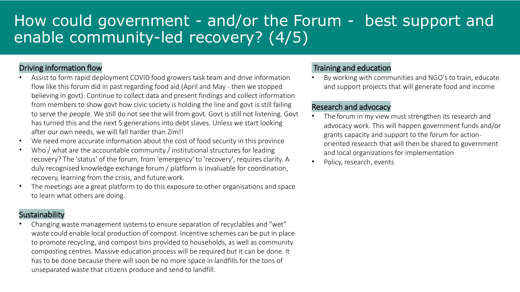## How could government - and/or the Forum - best support and enable community-led recovery? (4/5)

#### Driving information flow

- Assist to form rapid deployment COVID food growers task team and drive information flow like this forum did in past regarding food aid (April and May - then we stopped believing in govt). Continue to collect data and present findings and collect information from members to show govt how civic society is holding the line and govt is still failing to serve the people. We still do not see the will from govt. Govt is still not listening. Govt has turned this and the next 5 generations into debt slaves. Unless we start looking after our own needs, we will fall harder than Zim!!
- We need more accurate information about the cost of food security in this province
- Who / what are the accountable community / institutional structures for leading recovery? The 'status' of the forum, from 'emergency' to 'recovery', requires clarity. A duly recognised knowledge exchange forum / platform is invaluable for coordination, recovery, learning from the crisis, and future work.
- The meetings are a great platform to do this exposure to other organisations and space to learn what others are doing.

#### Sustainability

• Changing waste management systems to ensure separation of recyclables and "wet" waste could enable local production of compost. Incentive schemes can be put in place to promote recycling, and compost bins provided to households, as well as community composting centres. Massive education process will be required but it can be done. It has to be done because there will soon be no more space in landfills for the tons of unseparated waste that citizens produce and send to landfill.

#### Training and education

By working with communities and NGO's to train, educate and support projects that will generate food and income

#### Research and advocacy

- The forum in my view must strengthen its research and advocacy work. This will happen government funds and/or grants capacity and support to the forum for actionoriented research that will then be shared to government and local organizations for implementation
- Policy, research, events